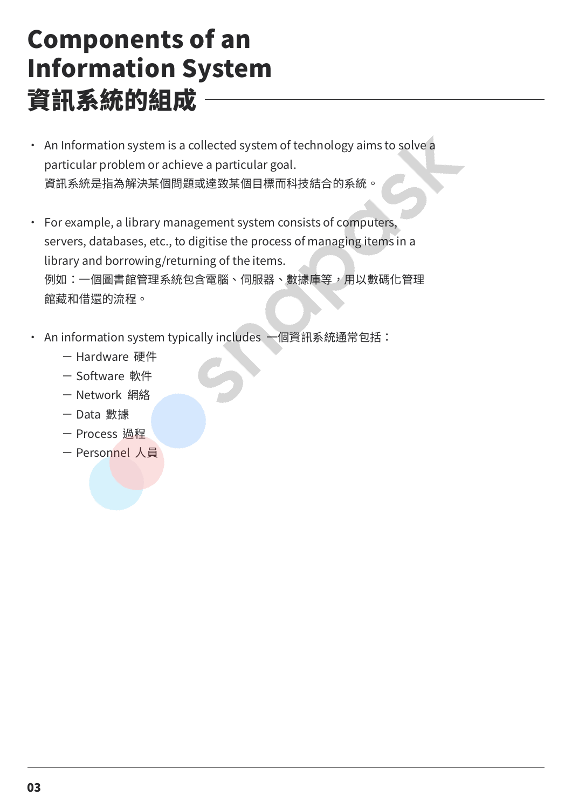## Components of an Information System 資訊系統的組成

- ・ An Information system is a collected system of technology aims to solve a particular problem or achieve a particular goal. 資訊系統是指為解決某個問題或達致某個目標而科技結合的系統。
- For example, a library management system consists of computers, servers, databases, etc., to digitise the process of managing items in a library and borrowing/returning of the items. 例如:一個圖書館管理系統包含電腦、伺服器、數據庫等,用以數碼化管理 館藏和借還的流程。
- ・ An information system typically includes 一個資訊系統通常包括:
	- Hardware 硬件
	- Software 軟件
	- Network 網絡
	- Data 數據
	- Process 過程
	- Personnel 人員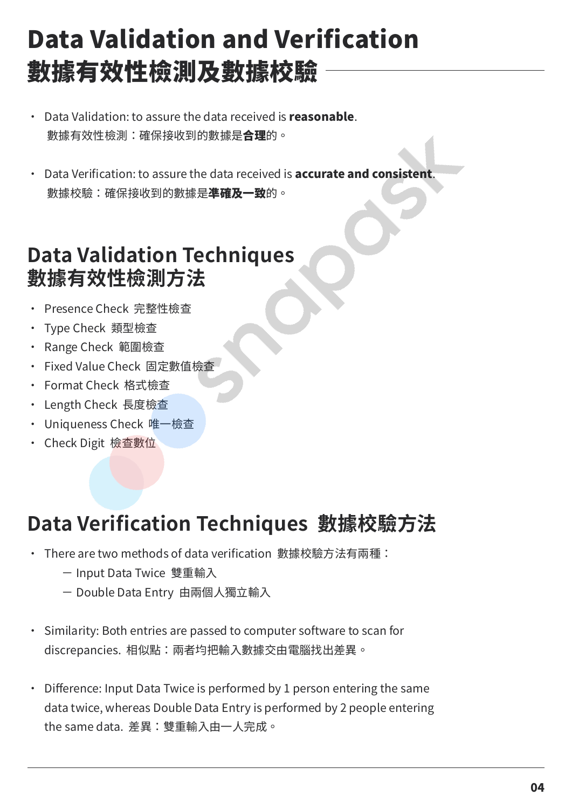# Data Validation and Verification 數據有效性檢測及數據校驗

- Data Validation: to assure the data received is **reasonable**. 數據有效性檢測:確保接收到的數據是**合理**的。
- Data Verification: to assure the data received is **accurate and consistent**. 數據校驗:確保接收到的數據是**進確及一致**的。

### **Data Validation Techniques 數據有效性檢測方法**

- ・ Presence Check 完整性檢查
- ・ Type Check 類型檢查
- ・ Range Check 範圍檢查
- ・ Fixed Value Check 固定數值檢查
- ・ Format Check 格式檢查
- ・ Length Check 長度檢查
- ・ Uniqueness Check 唯一檢查
- ・ Check Digit 檢查數位

## **Data Verification Techniques 數據校驗方法**

- ・ There are two methods of data verification 數據校驗方法有兩種:
	- Input Data Twice 雙重輸入
	- Double Data Entry 由兩個人獨立輸入
- Similarity: Both entries are passed to computer software to scan for discrepancies. 相似點:兩者均把輸入數據交由電腦找出差異。
- Difference: Input Data Twice is performed by 1 person entering the same data twice, whereas Double Data Entry is performed by 2 people entering the same data. 差異:雙重輸入由一人完成。